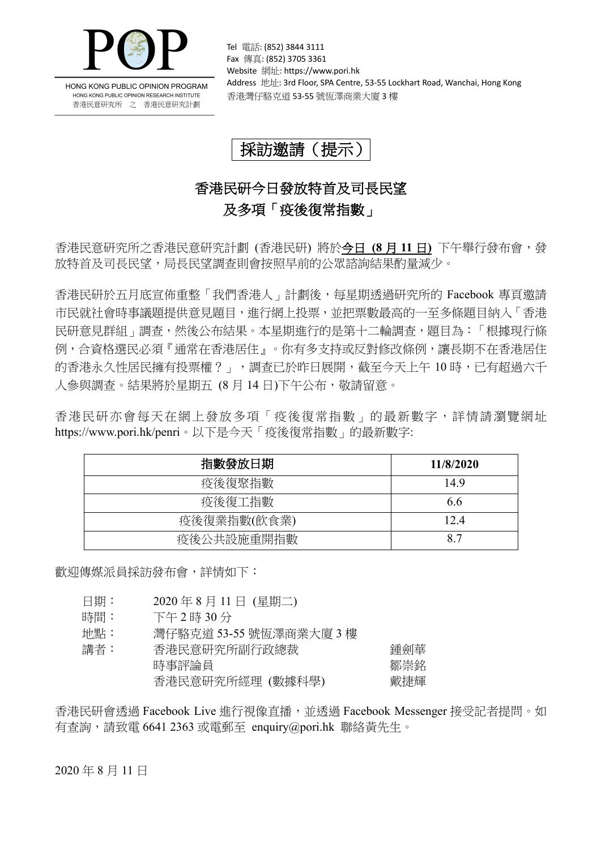

HONG KONG PUBLIC OPINION PROGRAM HONG KONG PUBLIC OPINION RESEARCH INSTITUTE 香港民意研究所 之 香港民意研究計劃

Tel 電話: (852) 3844 3111 Fax 傳真: (852) 3705 3361 Website 網址: https://www.pori.hk Address 地址: 3rd Floor, SPA Centre, 53-55 Lockhart Road, Wanchai, Hong Kong 香港灣仔駱克道 53-55 號恆澤商業大廈 3 樓

採訪邀請(提示)

## 香港民研今日發放特首及司長民望 及多項「疫後復常指數」

香港民意研究所之香港民意研究計劃 (香港民研) 將於今日 **(8** 月 **11** 日**)** 下午舉行發布會,發 放特首及司長民望,局長民望調查則會按照早前的公眾諮詢結果酌量減少。

香港民研於五月底宣佈重整「我們香港人」計劃後,每星期透過研究所的 Facebook 專頁邀請 市民就社會時事議題提供意見題目,進行網上投票,並把票數最高的一至多條題目納入「香港 民研意見群組」調查,然後公布結果。本星期進行的是第十二輪調查,題目為:「根據現行條 例,合資格選民必須『通常在香港居住』。你有多支持或反對修改條例,讓長期不在香港居住 的香港永久性居民擁有投票權?」,調查已於昨日展開,截至今天上午 10 時,已有超過六千 人參與調查。結果將於星期五 (8 月 14 日)下午公布,敬請留意。

香港民研亦會每天在網上發放多項「疫後復常指數」的最新數字,詳情請瀏覽網址 https://www.pori.hk/penri。以下是今天「疫後復常指數」的最新數字:

| 指數發放日期      | 11/8/2020 |
|-------------|-----------|
| 疫後復聚指數      | 14.9      |
| 疫後復工指數      | 6.6       |
| 疫後復業指數(飲食業) | 12.4      |
| 疫後公共設施重開指數  | 87        |

歡迎傳媒派員採訪發布會,詳情如下:

- 日期: 2020 年 8 月 11 日 (星期二)
- 時間: 下午2時30分

地點: 灣仔駱克道 53-55 號恆澤商業大廈 3 樓

| 講者: | 香港民意研究所副行政總裁     | 鍾劍華 |
|-----|------------------|-----|
|     | 時事評論員            | 鄒崇銘 |
|     | 香港民意研究所經理 (數據科學) | 戴捷輝 |
|     |                  |     |

香港民研會透過 Facebook Live 進行視像直播,並透過 Facebook Messenger 接受記者提問。如 有查詢,請致電 6641 2363 或電郵至 enquiry@pori.hk 聯絡黃先生。

2020 年 8 月 11 日